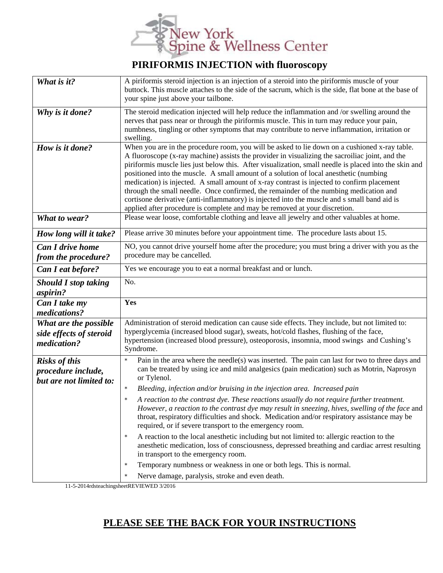

## **PIRIFORMIS INJECTION with fluoroscopy**

| What is it?                                                           | A piriformis steroid injection is an injection of a steroid into the piriformis muscle of your<br>buttock. This muscle attaches to the side of the sacrum, which is the side, flat bone at the base of<br>your spine just above your tailbone.                                                                                                                                                                                                                                                                                                                                                                                                                                                                                                                          |
|-----------------------------------------------------------------------|-------------------------------------------------------------------------------------------------------------------------------------------------------------------------------------------------------------------------------------------------------------------------------------------------------------------------------------------------------------------------------------------------------------------------------------------------------------------------------------------------------------------------------------------------------------------------------------------------------------------------------------------------------------------------------------------------------------------------------------------------------------------------|
| Why is it done?                                                       | The steroid medication injected will help reduce the inflammation and /or swelling around the<br>nerves that pass near or through the piriformis muscle. This in turn may reduce your pain,<br>numbness, tingling or other symptoms that may contribute to nerve inflammation, irritation or<br>swelling.                                                                                                                                                                                                                                                                                                                                                                                                                                                               |
| How is it done?                                                       | When you are in the procedure room, you will be asked to lie down on a cushioned x-ray table.<br>A fluoroscope (x-ray machine) assists the provider in visualizing the sacroiliac joint, and the<br>piriformis muscle lies just below this. After visualization, small needle is placed into the skin and<br>positioned into the muscle. A small amount of a solution of local anesthetic (numbing<br>medication) is injected. A small amount of x-ray contrast is injected to confirm placement<br>through the small needle. Once confirmed, the remainder of the numbing medication and<br>cortisone derivative (anti-inflammatory) is injected into the muscle and s small band aid is<br>applied after procedure is complete and may be removed at your discretion. |
| What to wear?                                                         | Please wear loose, comfortable clothing and leave all jewelry and other valuables at home.                                                                                                                                                                                                                                                                                                                                                                                                                                                                                                                                                                                                                                                                              |
| How long will it take?                                                | Please arrive 30 minutes before your appointment time. The procedure lasts about 15.                                                                                                                                                                                                                                                                                                                                                                                                                                                                                                                                                                                                                                                                                    |
| <b>Can I drive home</b><br>from the procedure?                        | NO, you cannot drive yourself home after the procedure; you must bring a driver with you as the<br>procedure may be cancelled.                                                                                                                                                                                                                                                                                                                                                                                                                                                                                                                                                                                                                                          |
| Can I eat before?                                                     | Yes we encourage you to eat a normal breakfast and or lunch.                                                                                                                                                                                                                                                                                                                                                                                                                                                                                                                                                                                                                                                                                                            |
| <b>Should I stop taking</b><br>aspirin?                               | No.                                                                                                                                                                                                                                                                                                                                                                                                                                                                                                                                                                                                                                                                                                                                                                     |
| Can I take my<br>medications?                                         | Yes                                                                                                                                                                                                                                                                                                                                                                                                                                                                                                                                                                                                                                                                                                                                                                     |
| What are the possible<br>side effects of steroid<br>medication?       | Administration of steroid medication can cause side effects. They include, but not limited to:<br>hyperglycemia (increased blood sugar), sweats, hot/cold flashes, flushing of the face,<br>hypertension (increased blood pressure), osteoporosis, insomnia, mood swings and Cushing's<br>Syndrome.                                                                                                                                                                                                                                                                                                                                                                                                                                                                     |
| <b>Risks of this</b><br>procedure include,<br>but are not limited to: | $\star$<br>Pain in the area where the needle(s) was inserted. The pain can last for two to three days and<br>can be treated by using ice and mild analgesics (pain medication) such as Motrin, Naprosyn<br>or Tylenol.<br>Bleeding, infection and/or bruising in the injection area. Increased pain                                                                                                                                                                                                                                                                                                                                                                                                                                                                     |
|                                                                       | A reaction to the contrast dye. These reactions usually do not require further treatment.<br>However, a reaction to the contrast dye may result in sneezing, hives, swelling of the face and<br>throat, respiratory difficulties and shock. Medication and/or respiratory assistance may be<br>required, or if severe transport to the emergency room.                                                                                                                                                                                                                                                                                                                                                                                                                  |
|                                                                       | A reaction to the local anesthetic including but not limited to: allergic reaction to the<br>$\star$<br>anesthetic medication, loss of consciousness, depressed breathing and cardiac arrest resulting<br>in transport to the emergency room.                                                                                                                                                                                                                                                                                                                                                                                                                                                                                                                           |
|                                                                       | Temporary numbness or weakness in one or both legs. This is normal.<br>$\star$<br>Nerve damage, paralysis, stroke and even death.<br>$\star$                                                                                                                                                                                                                                                                                                                                                                                                                                                                                                                                                                                                                            |

11-5-2014rdsteachingsheetREVIEWED 3/2016

## **PLEASE SEE THE BACK FOR YOUR INSTRUCTIONS**